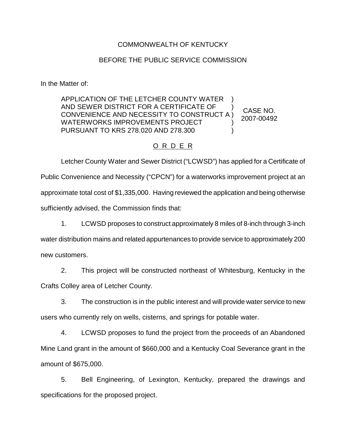## COMMONWEALTH OF KENTUCKY

## BEFORE THE PUBLIC SERVICE COMMISSION

In the Matter of:

APPLICATION OF THE LETCHER COUNTY WATER AND SEWER DISTRICT FOR A CERTIFICATE OF CONVENIENCE AND NECESSITY TO CONSTRUCT A ) WATERWORKS IMPROVEMENTS PROJECT PURSUANT TO KRS 278.020 AND 278.300 ) ) ) ) CASE NO. 2007-00492

## O R D E R

Letcher County Water and Sewer District ("LCWSD") has applied for a Certificate of Public Convenience and Necessity ("CPCN") for a waterworks improvement project at an approximate total cost of \$1,335,000. Having reviewed the application and being otherwise sufficiently advised, the Commission finds that:

1. LCWSD proposes to construct approximately 8 miles of 8-inch through 3-inch

water distribution mains and related appurtenances to provide service to approximately 200 new customers.

2. This project will be constructed northeast of Whitesburg, Kentucky in the Crafts Colley area of Letcher County.

3. The construction is in the public interest and will provide water service to new users who currently rely on wells, cisterns, and springs for potable water.

4. LCWSD proposes to fund the project from the proceeds of an Abandoned Mine Land grant in the amount of \$660,000 and a Kentucky Coal Severance grant in the amount of \$675,000.

5. Bell Engineering, of Lexington, Kentucky, prepared the drawings and specifications for the proposed project.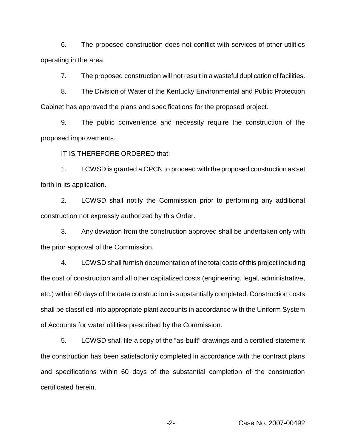6. The proposed construction does not conflict with services of other utilities operating in the area.

7. The proposed construction will not result in a wasteful duplication of facilities.

8. The Division of Water of the Kentucky Environmental and Public Protection Cabinet has approved the plans and specifications for the proposed project.

9. The public convenience and necessity require the construction of the proposed improvements.

IT IS THEREFORE ORDERED that:

1. LCWSD is granted a CPCN to proceed with the proposed construction as set forth in its application.

2. LCWSD shall notify the Commission prior to performing any additional construction not expressly authorized by this Order.

3. Any deviation from the construction approved shall be undertaken only with the prior approval of the Commission.

4. LCWSD shall furnish documentation of the total costs of this project including the cost of construction and all other capitalized costs (engineering, legal, administrative, etc.) within 60 days of the date construction is substantially completed. Construction costs shall be classified into appropriate plant accounts in accordance with the Uniform System of Accounts for water utilities prescribed by the Commission.

5. LCWSD shall file a copy of the "as-built" drawings and a certified statement the construction has been satisfactorily completed in accordance with the contract plans and specifications within 60 days of the substantial completion of the construction certificated herein.